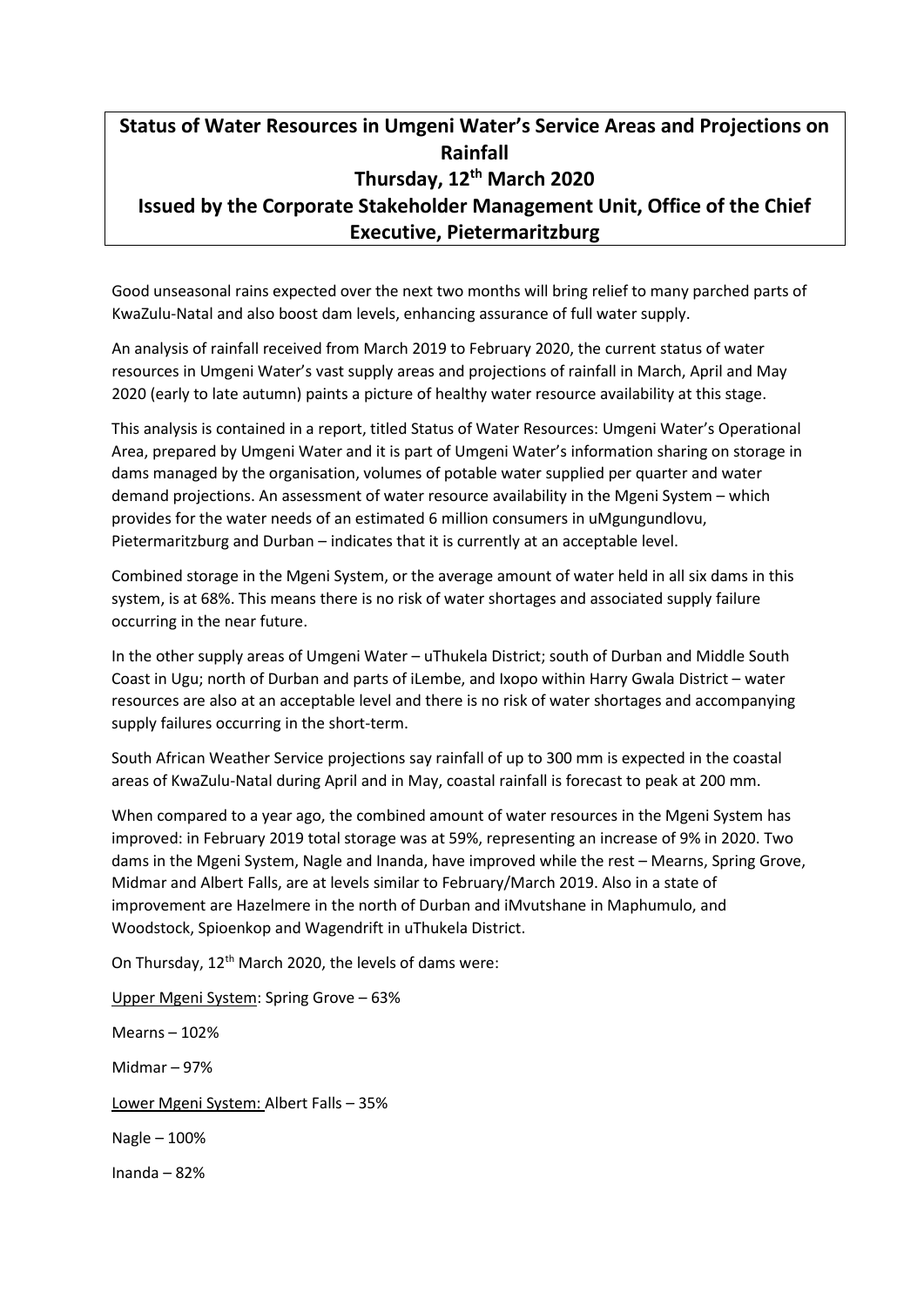## **Status of Water Resources in Umgeni Water's Service Areas and Projections on Rainfall Thursday, 12th March 2020 Issued by the Corporate Stakeholder Management Unit, Office of the Chief Executive, Pietermaritzburg**

Good unseasonal rains expected over the next two months will bring relief to many parched parts of KwaZulu-Natal and also boost dam levels, enhancing assurance of full water supply.

An analysis of rainfall received from March 2019 to February 2020, the current status of water resources in Umgeni Water's vast supply areas and projections of rainfall in March, April and May 2020 (early to late autumn) paints a picture of healthy water resource availability at this stage.

This analysis is contained in a report, titled Status of Water Resources: Umgeni Water's Operational Area, prepared by Umgeni Water and it is part of Umgeni Water's information sharing on storage in dams managed by the organisation, volumes of potable water supplied per quarter and water demand projections. An assessment of water resource availability in the Mgeni System – which provides for the water needs of an estimated 6 million consumers in uMgungundlovu, Pietermaritzburg and Durban – indicates that it is currently at an acceptable level.

Combined storage in the Mgeni System, or the average amount of water held in all six dams in this system, is at 68%. This means there is no risk of water shortages and associated supply failure occurring in the near future.

In the other supply areas of Umgeni Water – uThukela District; south of Durban and Middle South Coast in Ugu; north of Durban and parts of iLembe, and Ixopo within Harry Gwala District – water resources are also at an acceptable level and there is no risk of water shortages and accompanying supply failures occurring in the short-term.

South African Weather Service projections say rainfall of up to 300 mm is expected in the coastal areas of KwaZulu-Natal during April and in May, coastal rainfall is forecast to peak at 200 mm.

When compared to a year ago, the combined amount of water resources in the Mgeni System has improved: in February 2019 total storage was at 59%, representing an increase of 9% in 2020. Two dams in the Mgeni System, Nagle and Inanda, have improved while the rest – Mearns, Spring Grove, Midmar and Albert Falls, are at levels similar to February/March 2019. Also in a state of improvement are Hazelmere in the north of Durban and iMvutshane in Maphumulo, and Woodstock, Spioenkop and Wagendrift in uThukela District.

On Thursday, 12<sup>th</sup> March 2020, the levels of dams were:

Upper Mgeni System: Spring Grove – 63% Mearns – 102% Midmar – 97% Lower Mgeni System: Albert Falls – 35% Nagle – 100% Inanda – 82%